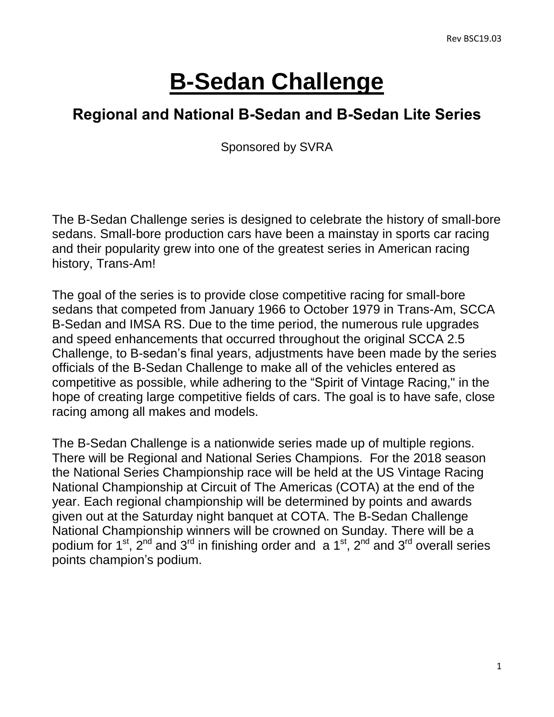# **B-Sedan Challenge**

## **Regional and National B-Sedan and B-Sedan Lite Series**

Sponsored by SVRA

The B-Sedan Challenge series is designed to celebrate the history of small-bore sedans. Small-bore production cars have been a mainstay in sports car racing and their popularity grew into one of the greatest series in American racing history, Trans-Am!

The goal of the series is to provide close competitive racing for small-bore sedans that competed from January 1966 to October 1979 in Trans-Am, SCCA B-Sedan and IMSA RS. Due to the time period, the numerous rule upgrades and speed enhancements that occurred throughout the original SCCA 2.5 Challenge, to B-sedan's final years, adjustments have been made by the series officials of the B-Sedan Challenge to make all of the vehicles entered as competitive as possible, while adhering to the "Spirit of Vintage Racing," in the hope of creating large competitive fields of cars. The goal is to have safe, close racing among all makes and models.

The B-Sedan Challenge is a nationwide series made up of multiple regions. There will be Regional and National Series Champions. For the 2018 season the National Series Championship race will be held at the US Vintage Racing National Championship at Circuit of The Americas (COTA) at the end of the year. Each regional championship will be determined by points and awards given out at the Saturday night banquet at COTA. The B-Sedan Challenge National Championship winners will be crowned on Sunday. There will be a podium for 1<sup>st</sup>, 2<sup>nd</sup> and 3<sup>rd</sup> in finishing order and a 1<sup>st</sup>, 2<sup>nd</sup> and 3<sup>rd</sup> overall series points champion's podium.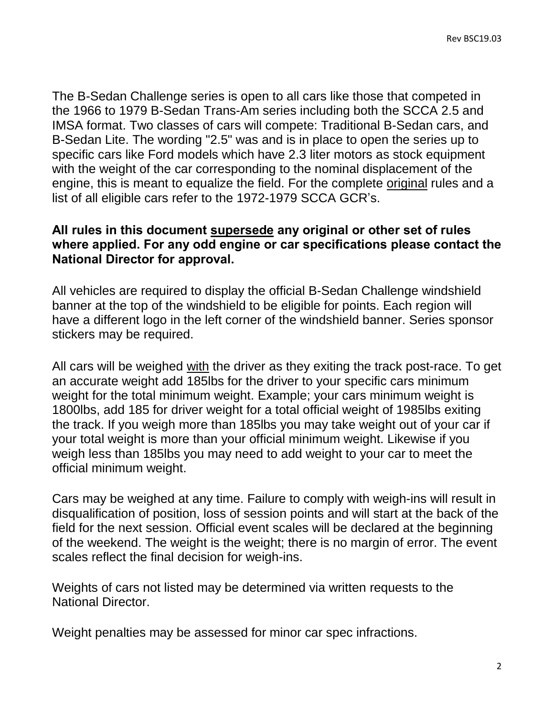The B-Sedan Challenge series is open to all cars like those that competed in the 1966 to 1979 B-Sedan Trans-Am series including both the SCCA 2.5 and IMSA format. Two classes of cars will compete: Traditional B-Sedan cars, and B-Sedan Lite. The wording "2.5" was and is in place to open the series up to specific cars like Ford models which have 2.3 liter motors as stock equipment with the weight of the car corresponding to the nominal displacement of the engine, this is meant to equalize the field. For the complete original rules and a list of all eligible cars refer to the 1972-1979 SCCA GCR's.

#### **All rules in this document supersede any original or other set of rules where applied. For any odd engine or car specifications please contact the National Director for approval.**

All vehicles are required to display the official B-Sedan Challenge windshield banner at the top of the windshield to be eligible for points. Each region will have a different logo in the left corner of the windshield banner. Series sponsor stickers may be required.

All cars will be weighed with the driver as they exiting the track post-race. To get an accurate weight add 185lbs for the driver to your specific cars minimum weight for the total minimum weight. Example; your cars minimum weight is 1800lbs, add 185 for driver weight for a total official weight of 1985lbs exiting the track. If you weigh more than 185lbs you may take weight out of your car if your total weight is more than your official minimum weight. Likewise if you weigh less than 185lbs you may need to add weight to your car to meet the official minimum weight.

Cars may be weighed at any time. Failure to comply with weigh-ins will result in disqualification of position, loss of session points and will start at the back of the field for the next session. Official event scales will be declared at the beginning of the weekend. The weight is the weight; there is no margin of error. The event scales reflect the final decision for weigh-ins.

Weights of cars not listed may be determined via written requests to the National Director.

Weight penalties may be assessed for minor car spec infractions.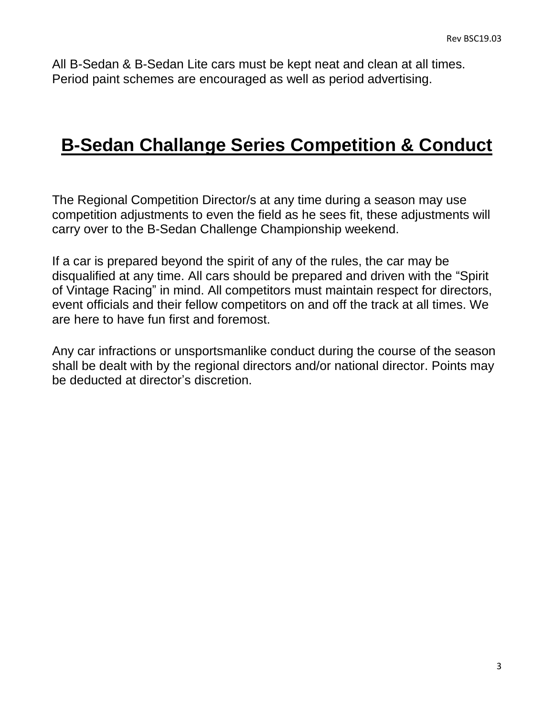All B-Sedan & B-Sedan Lite cars must be kept neat and clean at all times. Period paint schemes are encouraged as well as period advertising.

## **B-Sedan Challange Series Competition & Conduct**

The Regional Competition Director/s at any time during a season may use competition adjustments to even the field as he sees fit, these adjustments will carry over to the B-Sedan Challenge Championship weekend.

If a car is prepared beyond the spirit of any of the rules, the car may be disqualified at any time. All cars should be prepared and driven with the "Spirit of Vintage Racing" in mind. All competitors must maintain respect for directors, event officials and their fellow competitors on and off the track at all times. We are here to have fun first and foremost.

Any car infractions or unsportsmanlike conduct during the course of the season shall be dealt with by the regional directors and/or national director. Points may be deducted at director's discretion.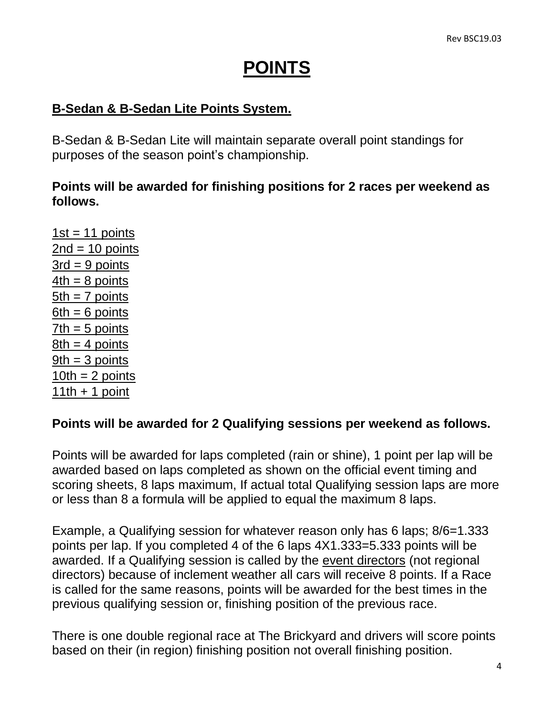## **POINTS**

#### **B-Sedan & B-Sedan Lite Points System.**

B-Sedan & B-Sedan Lite will maintain separate overall point standings for purposes of the season point's championship.

#### **Points will be awarded for finishing positions for 2 races per weekend as follows.**

 $1st = 11$  points  $2nd = 10$  points  $3rd = 9$  points  $4th = 8$  points  $5th = 7$  points  $6th = 6$  points  $7th = 5$  points  $8th = 4$  points  $9th = 3$  points  $10th = 2$  points  $11th + 1$  point

#### **Points will be awarded for 2 Qualifying sessions per weekend as follows.**

Points will be awarded for laps completed (rain or shine), 1 point per lap will be awarded based on laps completed as shown on the official event timing and scoring sheets, 8 laps maximum, If actual total Qualifying session laps are more or less than 8 a formula will be applied to equal the maximum 8 laps.

Example, a Qualifying session for whatever reason only has 6 laps; 8/6=1.333 points per lap. If you completed 4 of the 6 laps 4X1.333=5.333 points will be awarded. If a Qualifying session is called by the event directors (not regional directors) because of inclement weather all cars will receive 8 points. If a Race is called for the same reasons, points will be awarded for the best times in the previous qualifying session or, finishing position of the previous race.

There is one double regional race at The Brickyard and drivers will score points based on their (in region) finishing position not overall finishing position.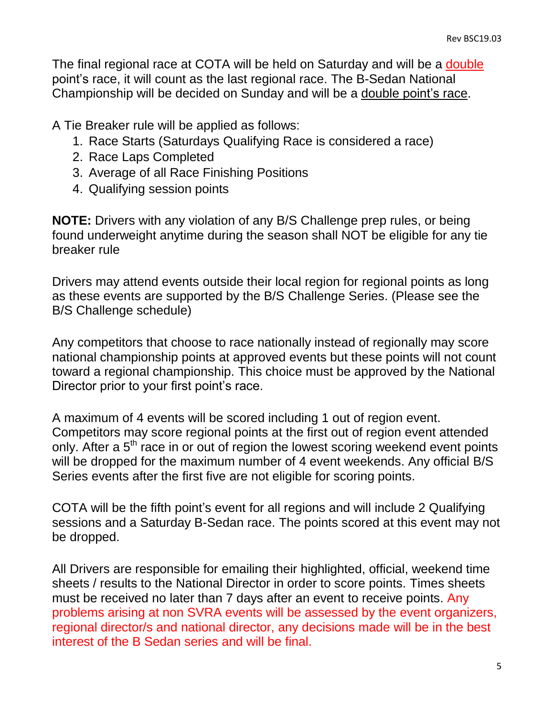The final regional race at COTA will be held on Saturday and will be a double point's race, it will count as the last regional race. The B-Sedan National Championship will be decided on Sunday and will be a double point's race.

A Tie Breaker rule will be applied as follows:

- 1. Race Starts (Saturdays Qualifying Race is considered a race)
- 2. Race Laps Completed
- 3. Average of all Race Finishing Positions
- 4. Qualifying session points

**NOTE:** Drivers with any violation of any B/S Challenge prep rules, or being found underweight anytime during the season shall NOT be eligible for any tie breaker rule

Drivers may attend events outside their local region for regional points as long as these events are supported by the B/S Challenge Series. (Please see the B/S Challenge schedule)

Any competitors that choose to race nationally instead of regionally may score national championship points at approved events but these points will not count toward a regional championship. This choice must be approved by the National Director prior to your first point's race.

A maximum of 4 events will be scored including 1 out of region event. Competitors may score regional points at the first out of region event attended only. After a 5<sup>th</sup> race in or out of region the lowest scoring weekend event points will be dropped for the maximum number of 4 event weekends. Any official B/S Series events after the first five are not eligible for scoring points.

COTA will be the fifth point's event for all regions and will include 2 Qualifying sessions and a Saturday B-Sedan race. The points scored at this event may not be dropped.

All Drivers are responsible for emailing their highlighted, official, weekend time sheets / results to the National Director in order to score points. Times sheets must be received no later than 7 days after an event to receive points. Any problems arising at non SVRA events will be assessed by the event organizers, regional director/s and national director, any decisions made will be in the best interest of the B Sedan series and will be final.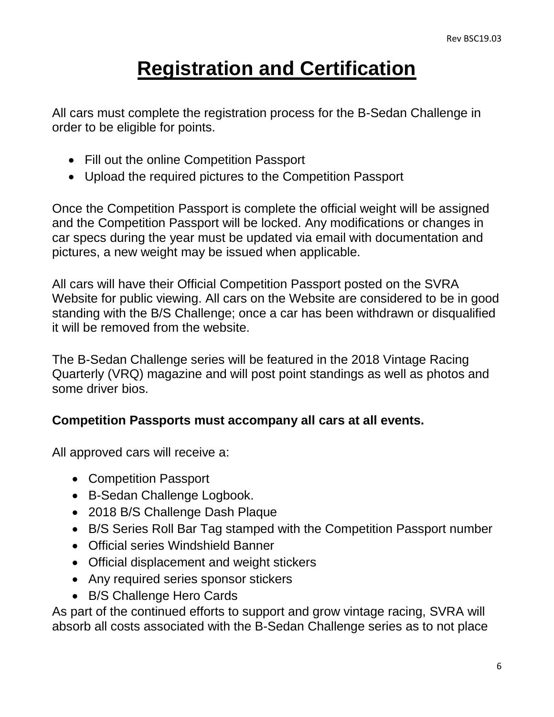# **Registration and Certification**

All cars must complete the registration process for the B-Sedan Challenge in order to be eligible for points.

- Fill out the online Competition Passport
- Upload the required pictures to the Competition Passport

Once the Competition Passport is complete the official weight will be assigned and the Competition Passport will be locked. Any modifications or changes in car specs during the year must be updated via email with documentation and pictures, a new weight may be issued when applicable.

All cars will have their Official Competition Passport posted on the SVRA Website for public viewing. All cars on the Website are considered to be in good standing with the B/S Challenge; once a car has been withdrawn or disqualified it will be removed from the website.

The B-Sedan Challenge series will be featured in the 2018 Vintage Racing Quarterly (VRQ) magazine and will post point standings as well as photos and some driver bios.

#### **Competition Passports must accompany all cars at all events.**

All approved cars will receive a:

- Competition Passport
- B-Sedan Challenge Logbook.
- 2018 B/S Challenge Dash Plaque
- B/S Series Roll Bar Tag stamped with the Competition Passport number
- Official series Windshield Banner
- Official displacement and weight stickers
- Any required series sponsor stickers
- B/S Challenge Hero Cards

As part of the continued efforts to support and grow vintage racing, SVRA will absorb all costs associated with the B-Sedan Challenge series as to not place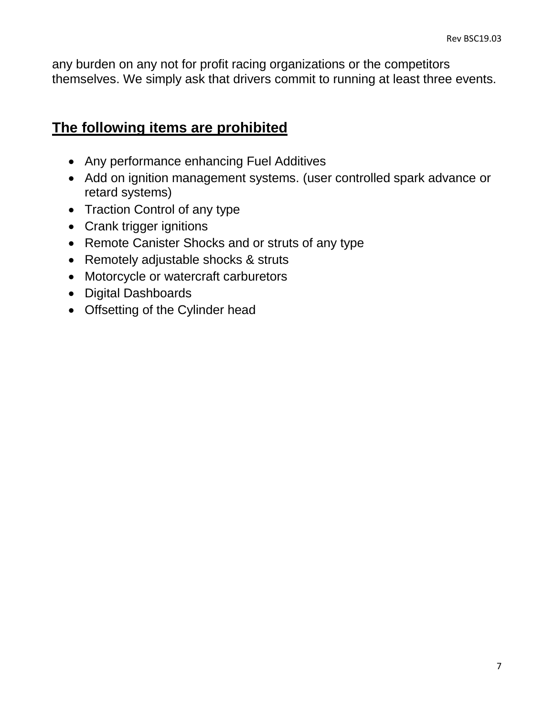any burden on any not for profit racing organizations or the competitors themselves. We simply ask that drivers commit to running at least three events.

### **The following items are prohibited**

- Any performance enhancing Fuel Additives
- Add on ignition management systems. (user controlled spark advance or retard systems)
- Traction Control of any type
- Crank trigger ignitions
- Remote Canister Shocks and or struts of any type
- Remotely adjustable shocks & struts
- Motorcycle or watercraft carburetors
- Digital Dashboards
- Offsetting of the Cylinder head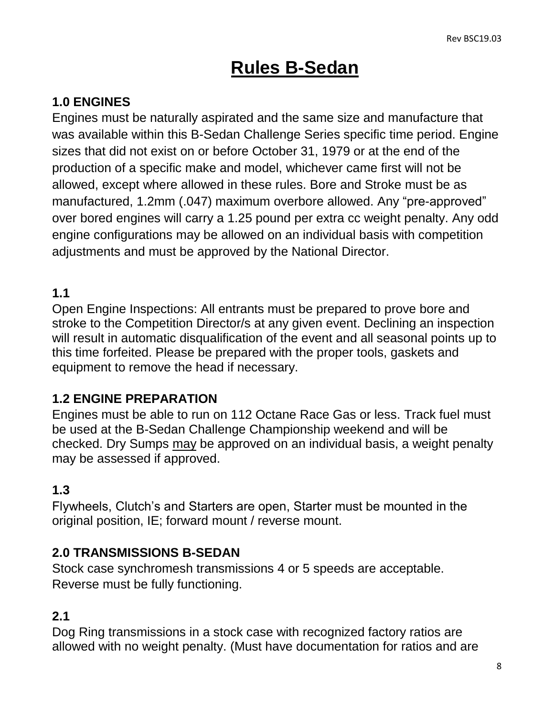## **Rules B-Sedan**

#### **1.0 ENGINES**

Engines must be naturally aspirated and the same size and manufacture that was available within this B-Sedan Challenge Series specific time period. Engine sizes that did not exist on or before October 31, 1979 or at the end of the production of a specific make and model, whichever came first will not be allowed, except where allowed in these rules. Bore and Stroke must be as manufactured, 1.2mm (.047) maximum overbore allowed. Any "pre-approved" over bored engines will carry a 1.25 pound per extra cc weight penalty. Any odd engine configurations may be allowed on an individual basis with competition adjustments and must be approved by the National Director.

#### **1.1**

Open Engine Inspections: All entrants must be prepared to prove bore and stroke to the Competition Director/s at any given event. Declining an inspection will result in automatic disqualification of the event and all seasonal points up to this time forfeited. Please be prepared with the proper tools, gaskets and equipment to remove the head if necessary.

#### **1.2 ENGINE PREPARATION**

Engines must be able to run on 112 Octane Race Gas or less. Track fuel must be used at the B-Sedan Challenge Championship weekend and will be checked. Dry Sumps may be approved on an individual basis, a weight penalty may be assessed if approved.

#### **1.3**

Flywheels, Clutch's and Starters are open, Starter must be mounted in the original position, IE; forward mount / reverse mount.

#### **2.0 TRANSMISSIONS B-SEDAN**

Stock case synchromesh transmissions 4 or 5 speeds are acceptable. Reverse must be fully functioning.

#### **2.1**

Dog Ring transmissions in a stock case with recognized factory ratios are allowed with no weight penalty. (Must have documentation for ratios and are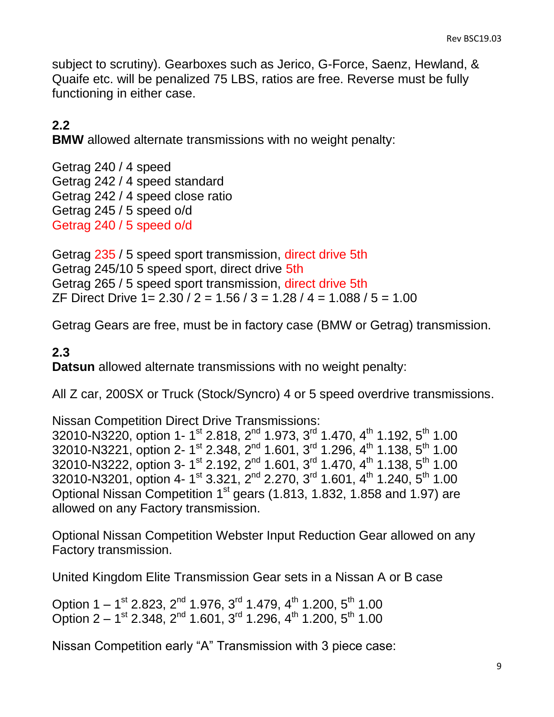subject to scrutiny). Gearboxes such as Jerico, G-Force, Saenz, Hewland, & Quaife etc. will be penalized 75 LBS, ratios are free. Reverse must be fully functioning in either case.

#### **2.2**

**BMW** allowed alternate transmissions with no weight penalty:

Getrag 240 / 4 speed Getrag 242 / 4 speed standard Getrag 242 / 4 speed close ratio Getrag 245 / 5 speed o/d Getrag 240 / 5 speed o/d

Getrag 235 / 5 speed sport transmission, direct drive 5th Getrag 245/10 5 speed sport, direct drive 5th Getrag 265 / 5 speed sport transmission, direct drive 5th ZF Direct Drive  $1 = 2.30 / 2 = 1.56 / 3 = 1.28 / 4 = 1.088 / 5 = 1.00$ 

Getrag Gears are free, must be in factory case (BMW or Getrag) transmission.

#### **2.3**

**Datsun** allowed alternate transmissions with no weight penalty:

All Z car, 200SX or Truck (Stock/Syncro) 4 or 5 speed overdrive transmissions.

Nissan Competition Direct Drive Transmissions:

32010-N3220, option 1- 1<sup>st</sup> 2.818, 2<sup>nd</sup> 1.973, 3<sup>rd</sup> 1.470, 4<sup>th</sup> 1.192, 5<sup>th</sup> 1.00 32010-N3221, option 2- 1<sup>st</sup> 2.348, 2<sup>nd</sup> 1.601, 3<sup>rd</sup> 1.296, 4<sup>th</sup> 1.138, 5<sup>th</sup> 1.00 32010-N3222, option 3- 1<sup>st</sup> 2.192, 2<sup>nd</sup> 1.601, 3<sup>rd</sup> 1.470, 4<sup>th</sup> 1.138, 5<sup>th</sup> 1.00 32010-N3201, option 4- 1<sup>st</sup> 3.321, 2<sup>nd</sup> 2.270, 3<sup>rd</sup> 1.601, 4<sup>th</sup> 1.240, 5<sup>th</sup> 1.00 Optional Nissan Competition  $1<sup>st</sup>$  gears (1.813, 1.832, 1.858 and 1.97) are allowed on any Factory transmission.

Optional Nissan Competition Webster Input Reduction Gear allowed on any Factory transmission.

United Kingdom Elite Transmission Gear sets in a Nissan A or B case

Option 1 – 1<sup>st</sup> 2.823, 2<sup>nd</sup> 1.976, 3<sup>rd</sup> 1.479, 4<sup>th</sup> 1.200, 5<sup>th</sup> 1.00 Option 2 – 1<sup>st</sup> 2.348, 2<sup>nd</sup> 1.601, 3<sup>rd</sup> 1.296, 4<sup>th</sup> 1.200, 5<sup>th</sup> 1.00

Nissan Competition early "A" Transmission with 3 piece case: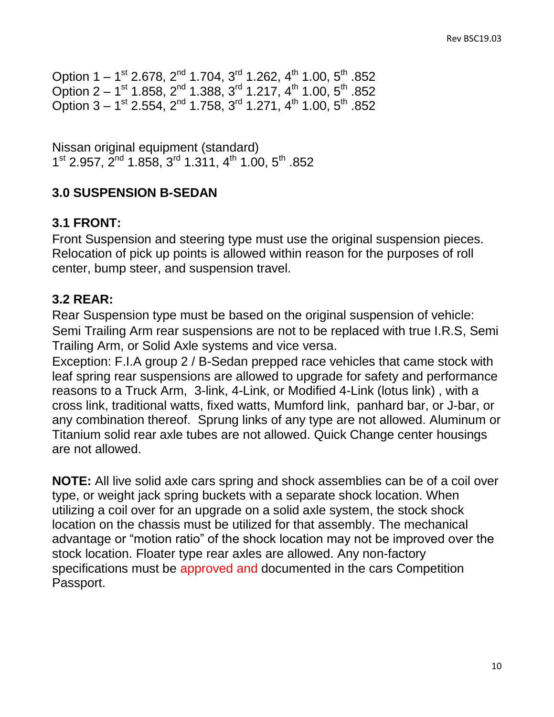Option 1 – 1<sup>st</sup> 2.678, 2<sup>nd</sup> 1.704, 3<sup>rd</sup> 1.262, 4<sup>th</sup> 1.00, 5<sup>th</sup> .852 Option 2 – 1<sup>st</sup> 1.858, 2<sup>nd</sup> 1.388, 3<sup>rd</sup> 1.217, 4<sup>th</sup> 1.00, 5<sup>th</sup> .852 Option 3 – 1<sup>st</sup> 2.554, 2<sup>nd</sup> 1.758, 3<sup>rd</sup> 1.271, 4<sup>th</sup> 1.00, 5<sup>th</sup> .852

Nissan original equipment (standard)  $1<sup>st</sup>$  2.957,  $2<sup>nd</sup>$  1.858,  $3<sup>rd</sup>$  1.311,  $4<sup>th</sup>$  1.00,  $5<sup>th</sup>$ .852

#### **3.0 SUSPENSION B-SEDAN**

#### **3.1 FRONT:**

Front Suspension and steering type must use the original suspension pieces. Relocation of pick up points is allowed within reason for the purposes of roll center, bump steer, and suspension travel.

#### **3.2 REAR:**

Rear Suspension type must be based on the original suspension of vehicle: Semi Trailing Arm rear suspensions are not to be replaced with true I.R.S, Semi Trailing Arm, or Solid Axle systems and vice versa.

Exception: F.I.A group 2 / B-Sedan prepped race vehicles that came stock with leaf spring rear suspensions are allowed to upgrade for safety and performance reasons to a Truck Arm, 3-link, 4-Link, or Modified 4-Link (lotus link) , with a cross link, traditional watts, fixed watts, Mumford link, panhard bar, or J-bar, or any combination thereof. Sprung links of any type are not allowed. Aluminum or Titanium solid rear axle tubes are not allowed. Quick Change center housings are not allowed.

**NOTE:** All live solid axle cars spring and shock assemblies can be of a coil over type, or weight jack spring buckets with a separate shock location. When utilizing a coil over for an upgrade on a solid axle system, the stock shock location on the chassis must be utilized for that assembly. The mechanical advantage or "motion ratio" of the shock location may not be improved over the stock location. Floater type rear axles are allowed. Any non-factory specifications must be approved and documented in the cars Competition Passport.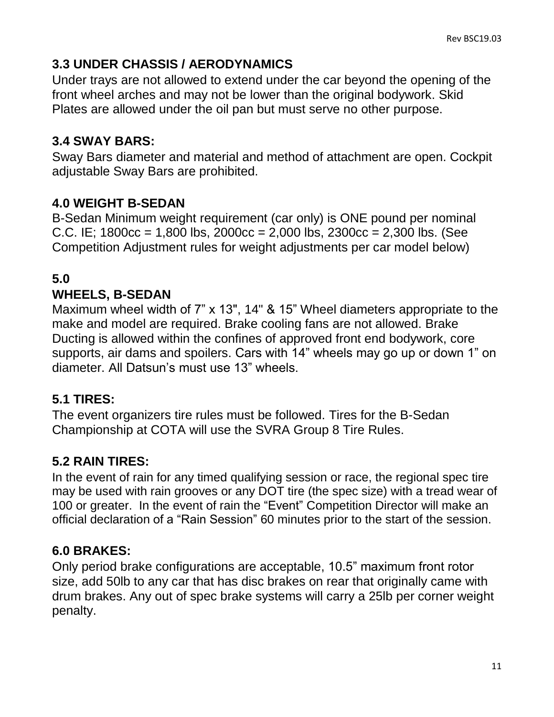### **3.3 UNDER CHASSIS / AERODYNAMICS**

Under trays are not allowed to extend under the car beyond the opening of the front wheel arches and may not be lower than the original bodywork. Skid Plates are allowed under the oil pan but must serve no other purpose.

#### **3.4 SWAY BARS:**

Sway Bars diameter and material and method of attachment are open. Cockpit adjustable Sway Bars are prohibited.

#### **4.0 WEIGHT B-SEDAN**

B-Sedan Minimum weight requirement (car only) is ONE pound per nominal C.C. IE;  $1800cc = 1,800$  lbs,  $2000cc = 2,000$  lbs,  $2300cc = 2,300$  lbs. (See Competition Adjustment rules for weight adjustments per car model below)

#### **5.0**

#### **WHEELS, B-SEDAN**

Maximum wheel width of 7" x 13", 14" & 15" Wheel diameters appropriate to the make and model are required. Brake cooling fans are not allowed. Brake Ducting is allowed within the confines of approved front end bodywork, core supports, air dams and spoilers. Cars with 14" wheels may go up or down 1" on diameter. All Datsun's must use 13" wheels.

#### **5.1 TIRES:**

The event organizers tire rules must be followed. Tires for the B-Sedan Championship at COTA will use the SVRA Group 8 Tire Rules.

#### **5.2 RAIN TIRES:**

In the event of rain for any timed qualifying session or race, the regional spec tire may be used with rain grooves or any DOT tire (the spec size) with a tread wear of 100 or greater. In the event of rain the "Event" Competition Director will make an official declaration of a "Rain Session" 60 minutes prior to the start of the session.

#### **6.0 BRAKES:**

Only period brake configurations are acceptable, 10.5" maximum front rotor size, add 50lb to any car that has disc brakes on rear that originally came with drum brakes. Any out of spec brake systems will carry a 25lb per corner weight penalty.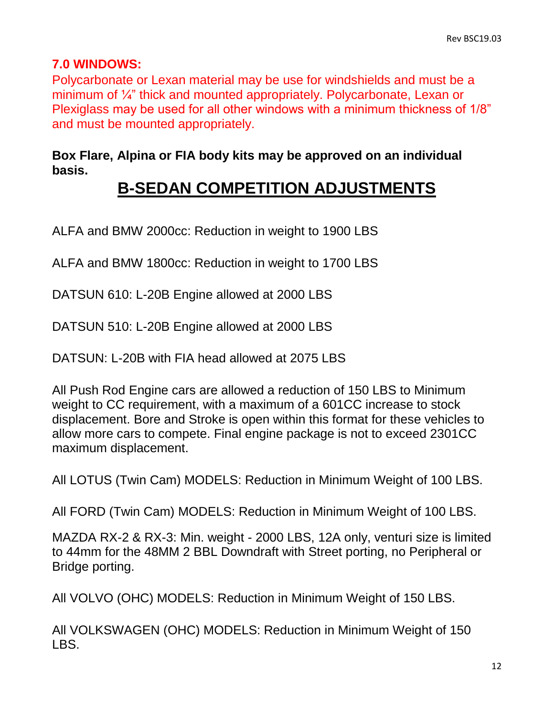#### **7.0 WINDOWS:**

Polycarbonate or Lexan material may be use for windshields and must be a minimum of ¼" thick and mounted appropriately. Polycarbonate, Lexan or Plexiglass may be used for all other windows with a minimum thickness of 1/8" and must be mounted appropriately.

**Box Flare, Alpina or FIA body kits may be approved on an individual basis.**

## **B-SEDAN COMPETITION ADJUSTMENTS**

ALFA and BMW 2000cc: Reduction in weight to 1900 LBS

ALFA and BMW 1800cc: Reduction in weight to 1700 LBS

DATSUN 610: L-20B Engine allowed at 2000 LBS

DATSUN 510: L-20B Engine allowed at 2000 LBS

DATSUN: L-20B with FIA head allowed at 2075 LBS

All Push Rod Engine cars are allowed a reduction of 150 LBS to Minimum weight to CC requirement, with a maximum of a 601CC increase to stock displacement. Bore and Stroke is open within this format for these vehicles to allow more cars to compete. Final engine package is not to exceed 2301CC maximum displacement.

All LOTUS (Twin Cam) MODELS: Reduction in Minimum Weight of 100 LBS.

All FORD (Twin Cam) MODELS: Reduction in Minimum Weight of 100 LBS.

MAZDA RX-2 & RX-3: Min. weight - 2000 LBS, 12A only, venturi size is limited to 44mm for the 48MM 2 BBL Downdraft with Street porting, no Peripheral or Bridge porting.

All VOLVO (OHC) MODELS: Reduction in Minimum Weight of 150 LBS.

All VOLKSWAGEN (OHC) MODELS: Reduction in Minimum Weight of 150 LBS.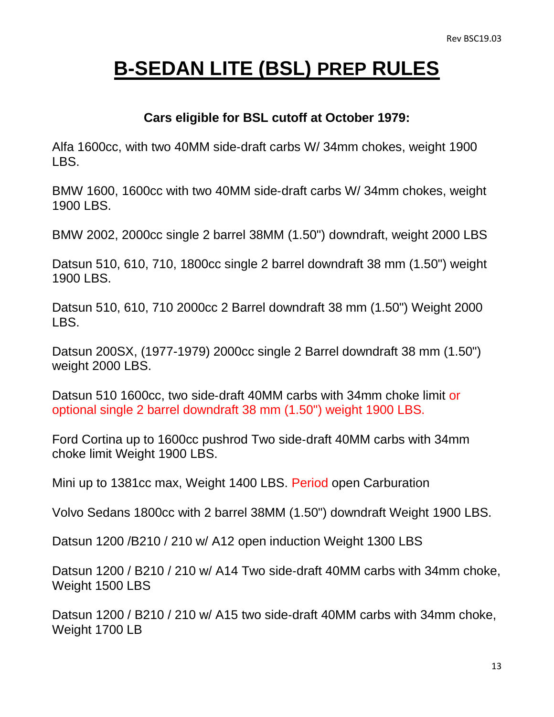# **B-SEDAN LITE (BSL) PREP RULES**

#### **Cars eligible for BSL cutoff at October 1979:**

Alfa 1600cc, with two 40MM side‐draft carbs W/ 34mm chokes, weight 1900 LBS.

BMW 1600, 1600cc with two 40MM side‐draft carbs W/ 34mm chokes, weight 1900 LBS.

BMW 2002, 2000cc single 2 barrel 38MM (1.50") downdraft, weight 2000 LBS

Datsun 510, 610, 710, 1800cc single 2 barrel downdraft 38 mm (1.50") weight 1900 LBS.

Datsun 510, 610, 710 2000cc 2 Barrel downdraft 38 mm (1.50") Weight 2000 LBS.

Datsun 200SX, (1977-1979) 2000cc single 2 Barrel downdraft 38 mm (1.50") weight 2000 LBS.

Datsun 510 1600cc, two side-draft 40MM carbs with 34mm choke limit or optional single 2 barrel downdraft 38 mm (1.50") weight 1900 LBS.

Ford Cortina up to 1600cc pushrod Two side‐draft 40MM carbs with 34mm choke limit Weight 1900 LBS.

Mini up to 1381cc max, Weight 1400 LBS. Period open Carburation

Volvo Sedans 1800cc with 2 barrel 38MM (1.50") downdraft Weight 1900 LBS.

Datsun 1200 /B210 / 210 w/ A12 open induction Weight 1300 LBS

Datsun 1200 / B210 / 210 w/ A14 Two side-draft 40MM carbs with 34mm choke, Weight 1500 LBS

Datsun 1200 / B210 / 210 w/ A15 two side-draft 40MM carbs with 34mm choke, Weight 1700 LB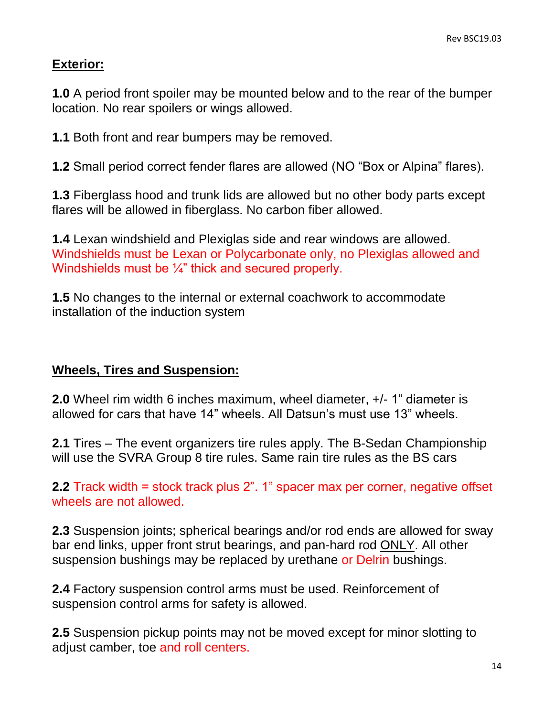#### **Exterior:**

**1.0** A period front spoiler may be mounted below and to the rear of the bumper location. No rear spoilers or wings allowed.

**1.1** Both front and rear bumpers may be removed.

**1.2** Small period correct fender flares are allowed (NO "Box or Alpina" flares).

**1.3** Fiberglass hood and trunk lids are allowed but no other body parts except flares will be allowed in fiberglass. No carbon fiber allowed.

**1.4** Lexan windshield and Plexiglas side and rear windows are allowed. Windshields must be Lexan or Polycarbonate only, no Plexiglas allowed and Windshields must be 1/4" thick and secured properly.

**1.5** No changes to the internal or external coachwork to accommodate installation of the induction system

#### **Wheels, Tires and Suspension:**

**2.0** Wheel rim width 6 inches maximum, wheel diameter, +/- 1" diameter is allowed for cars that have 14" wheels. All Datsun's must use 13" wheels.

**2.1** Tires – The event organizers tire rules apply. The B-Sedan Championship will use the SVRA Group 8 tire rules. Same rain tire rules as the BS cars

**2.2** Track width = stock track plus 2". 1" spacer max per corner, negative offset wheels are not allowed.

**2.3** Suspension joints; spherical bearings and/or rod ends are allowed for sway bar end links, upper front strut bearings, and pan-hard rod ONLY. All other suspension bushings may be replaced by urethane or Delrin bushings.

**2.4** Factory suspension control arms must be used. Reinforcement of suspension control arms for safety is allowed.

**2.5** Suspension pickup points may not be moved except for minor slotting to adjust camber, toe and roll centers.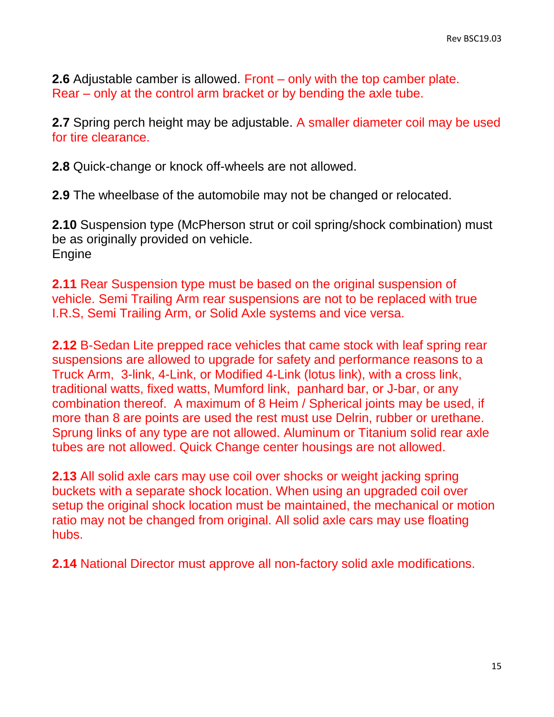**2.6** Adjustable camber is allowed. Front – only with the top camber plate. Rear – only at the control arm bracket or by bending the axle tube.

**2.7** Spring perch height may be adjustable. A smaller diameter coil may be used for tire clearance.

**2.8** Quick-change or knock off-wheels are not allowed.

**2.9** The wheelbase of the automobile may not be changed or relocated.

**2.10** Suspension type (McPherson strut or coil spring/shock combination) must be as originally provided on vehicle. Engine

**2.11** Rear Suspension type must be based on the original suspension of vehicle. Semi Trailing Arm rear suspensions are not to be replaced with true I.R.S, Semi Trailing Arm, or Solid Axle systems and vice versa.

**2.12** B-Sedan Lite prepped race vehicles that came stock with leaf spring rear suspensions are allowed to upgrade for safety and performance reasons to a Truck Arm, 3-link, 4-Link, or Modified 4-Link (lotus link), with a cross link, traditional watts, fixed watts, Mumford link, panhard bar, or J-bar, or any combination thereof. A maximum of 8 Heim / Spherical joints may be used, if more than 8 are points are used the rest must use Delrin, rubber or urethane. Sprung links of any type are not allowed. Aluminum or Titanium solid rear axle tubes are not allowed. Quick Change center housings are not allowed.

**2.13** All solid axle cars may use coil over shocks or weight jacking spring buckets with a separate shock location. When using an upgraded coil over setup the original shock location must be maintained, the mechanical or motion ratio may not be changed from original. All solid axle cars may use floating hubs.

**2.14** National Director must approve all non-factory solid axle modifications.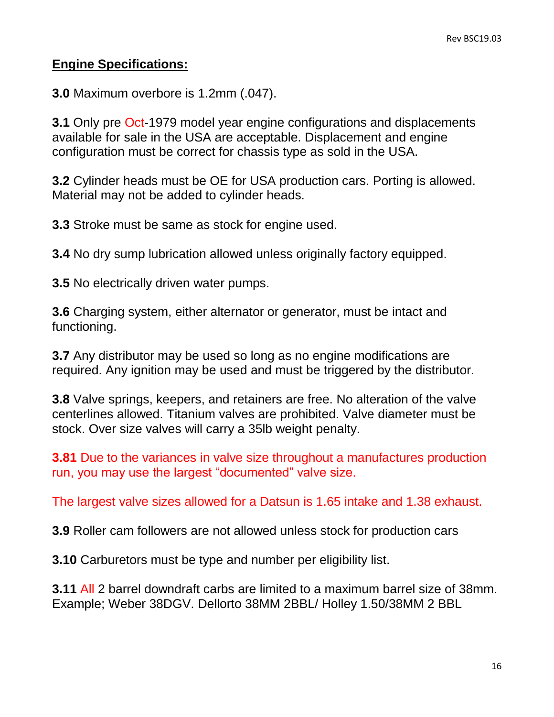#### **Engine Specifications:**

**3.0** Maximum overbore is 1.2mm (.047).

**3.1** Only pre Oct-1979 model year engine configurations and displacements available for sale in the USA are acceptable. Displacement and engine configuration must be correct for chassis type as sold in the USA.

**3.2** Cylinder heads must be OE for USA production cars. Porting is allowed. Material may not be added to cylinder heads.

**3.3** Stroke must be same as stock for engine used.

**3.4** No dry sump lubrication allowed unless originally factory equipped.

**3.5** No electrically driven water pumps.

**3.6** Charging system, either alternator or generator, must be intact and functioning.

**3.7** Any distributor may be used so long as no engine modifications are required. Any ignition may be used and must be triggered by the distributor.

**3.8** Valve springs, keepers, and retainers are free. No alteration of the valve centerlines allowed. Titanium valves are prohibited. Valve diameter must be stock. Over size valves will carry a 35lb weight penalty.

**3.81** Due to the variances in valve size throughout a manufactures production run, you may use the largest "documented" valve size.

The largest valve sizes allowed for a Datsun is 1.65 intake and 1.38 exhaust.

**3.9** Roller cam followers are not allowed unless stock for production cars

**3.10** Carburetors must be type and number per eligibility list.

**3.11** All 2 barrel downdraft carbs are limited to a maximum barrel size of 38mm. Example; Weber 38DGV. Dellorto 38MM 2BBL/ Holley 1.50/38MM 2 BBL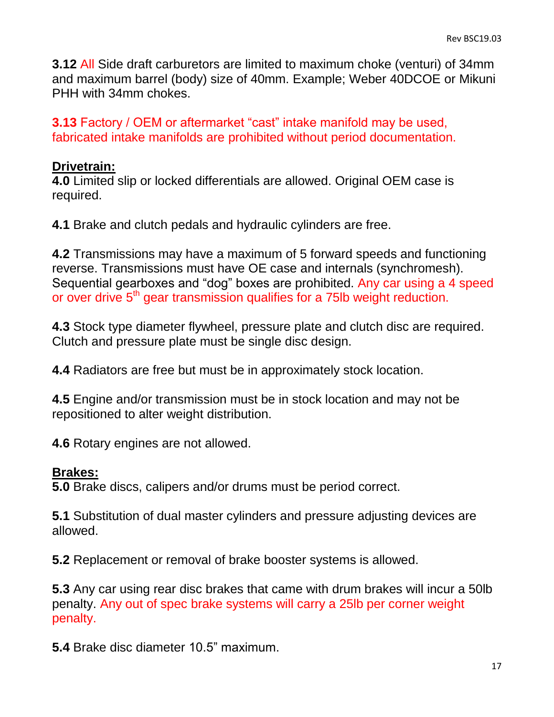**3.12** All Side draft carburetors are limited to maximum choke (venturi) of 34mm and maximum barrel (body) size of 40mm. Example; Weber 40DCOE or Mikuni PHH with 34mm chokes.

**3.13** Factory / OEM or aftermarket "cast" intake manifold may be used, fabricated intake manifolds are prohibited without period documentation.

#### **Drivetrain:**

**4.0** Limited slip or locked differentials are allowed. Original OEM case is required.

**4.1** Brake and clutch pedals and hydraulic cylinders are free.

**4.2** Transmissions may have a maximum of 5 forward speeds and functioning reverse. Transmissions must have OE case and internals (synchromesh). Sequential gearboxes and "dog" boxes are prohibited. Any car using a 4 speed or over drive 5<sup>th</sup> gear transmission qualifies for a 75lb weight reduction.

**4.3** Stock type diameter flywheel, pressure plate and clutch disc are required. Clutch and pressure plate must be single disc design.

**4.4** Radiators are free but must be in approximately stock location.

**4.5** Engine and/or transmission must be in stock location and may not be repositioned to alter weight distribution.

**4.6** Rotary engines are not allowed.

#### **Brakes:**

**5.0** Brake discs, calipers and/or drums must be period correct.

**5.1** Substitution of dual master cylinders and pressure adjusting devices are allowed.

**5.2** Replacement or removal of brake booster systems is allowed.

**5.3** Any car using rear disc brakes that came with drum brakes will incur a 50lb penalty. Any out of spec brake systems will carry a 25lb per corner weight penalty.

**5.4** Brake disc diameter 10.5" maximum.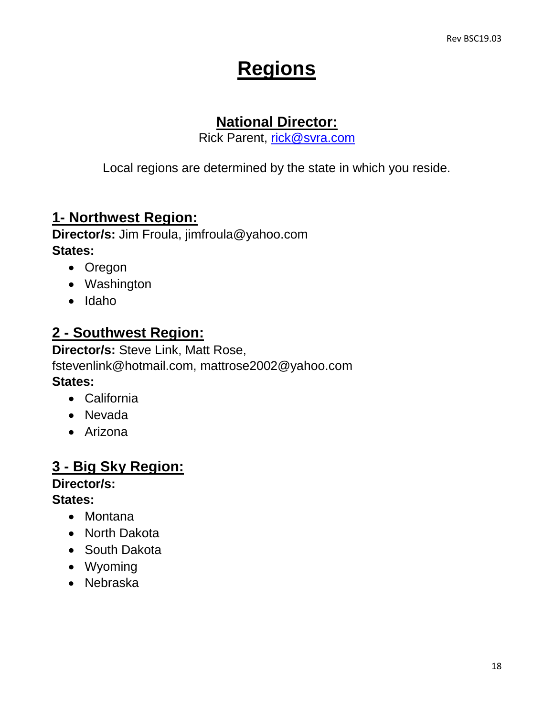# **Regions**

## **National Director:**

Rick Parent, [rick@svra.com](mailto:rick@svra.com)

Local regions are determined by the state in which you reside.

## **1- Northwest Region:**

**Director/s:** Jim Froula, jimfroula@yahoo.com **States:**

- Oregon
- Washington
- Idaho

### **2 - Southwest Region:**

**Director/s:** Steve Link, Matt Rose, fstevenlink@hotmail.com, mattrose2002@yahoo.com **States:**

- California
- Nevada
- Arizona

## **3 - Big Sky Region:**

**Director/s:**

**States:**

- Montana
- North Dakota
- South Dakota
- Wyoming
- Nebraska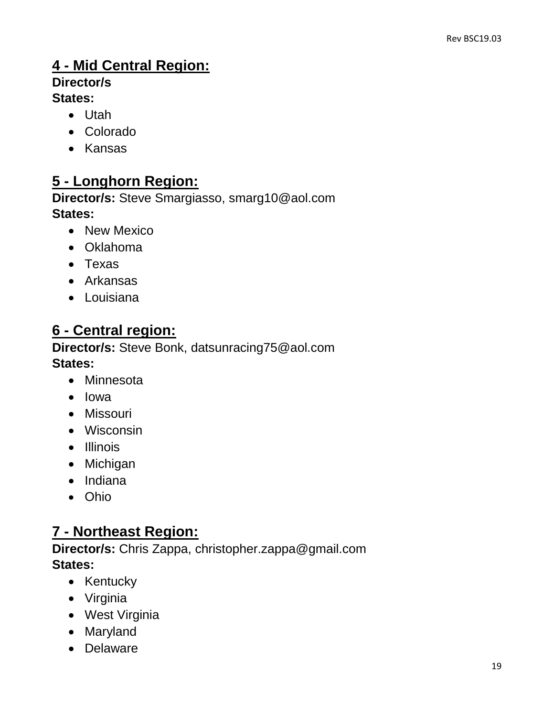## **4 - Mid Central Region:**

### **Director/s**

#### **States:**

- Utah
- Colorado
- Kansas

## **5 - Longhorn Region:**

**Director/s:** Steve Smargiasso, smarg10@aol.com **States:**

- New Mexico
- Oklahoma
- Texas
- Arkansas
- Louisiana

## **6 - Central region:**

#### **Director/s:** Steve Bonk, datsunracing75@aol.com

#### **States:**

- Minnesota
- Iowa
- Missouri
- Wisconsin
- Illinois
- Michigan
- Indiana
- Ohio

### **7 - Northeast Region:**

#### **Director/s:** Chris Zappa, christopher.zappa@gmail.com **States:**

- Kentucky
- Virginia
- West Virginia
- Maryland
- Delaware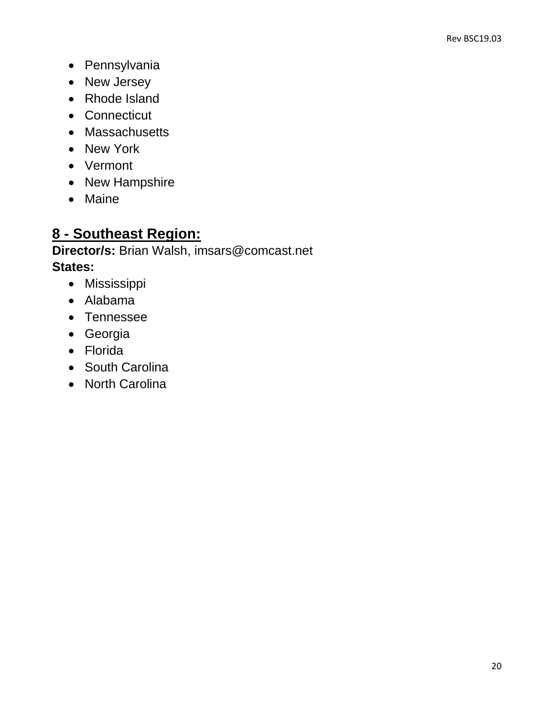- Pennsylvania
- New Jersey
- Rhode Island
- Connecticut
- Massachusetts
- New York
- Vermont
- New Hampshire
- Maine

## **8 - Southeast Region:**

**Director/s:** Brian Walsh, imsars@comcast.net **States:**

- Mississippi
- Alabama
- Tennessee
- Georgia
- Florida
- South Carolina
- North Carolina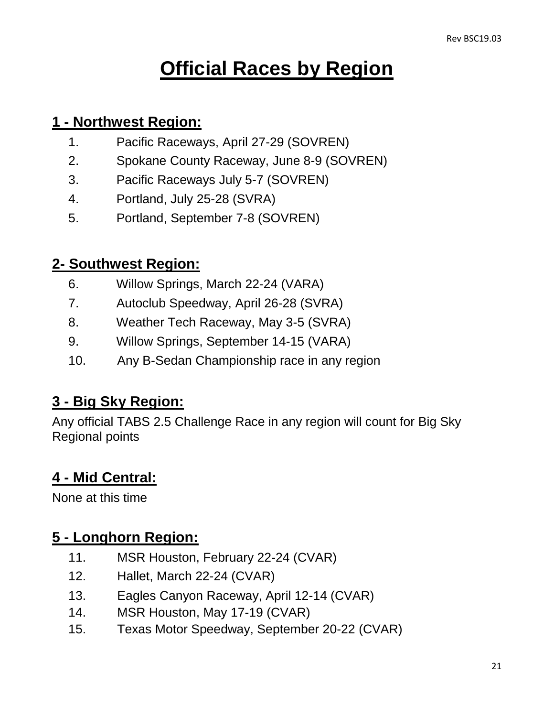# **Official Races by Region**

## **1 - Northwest Region:**

- 1. Pacific Raceways, April 27-29 (SOVREN)
- 2. Spokane County Raceway, June 8-9 (SOVREN)
- 3. Pacific Raceways July 5-7 (SOVREN)
- 4. Portland, July 25-28 (SVRA)
- 5. Portland, September 7-8 (SOVREN)

## **2- Southwest Region:**

- 6. Willow Springs, March 22-24 (VARA)
- 7. Autoclub Speedway, April 26-28 (SVRA)
- 8. Weather Tech Raceway, May 3-5 (SVRA)
- 9. Willow Springs, September 14-15 (VARA)
- 10. Any B-Sedan Championship race in any region

## **3 - Big Sky Region:**

Any official TABS 2.5 Challenge Race in any region will count for Big Sky Regional points

## **4 - Mid Central:**

None at this time

## **5 - Longhorn Region:**

- 11. MSR Houston, February 22-24 (CVAR)
- 12. Hallet, March 22-24 (CVAR)
- 13. Eagles Canyon Raceway, April 12-14 (CVAR)
- 14. MSR Houston, May 17-19 (CVAR)
- 15. Texas Motor Speedway, September 20-22 (CVAR)